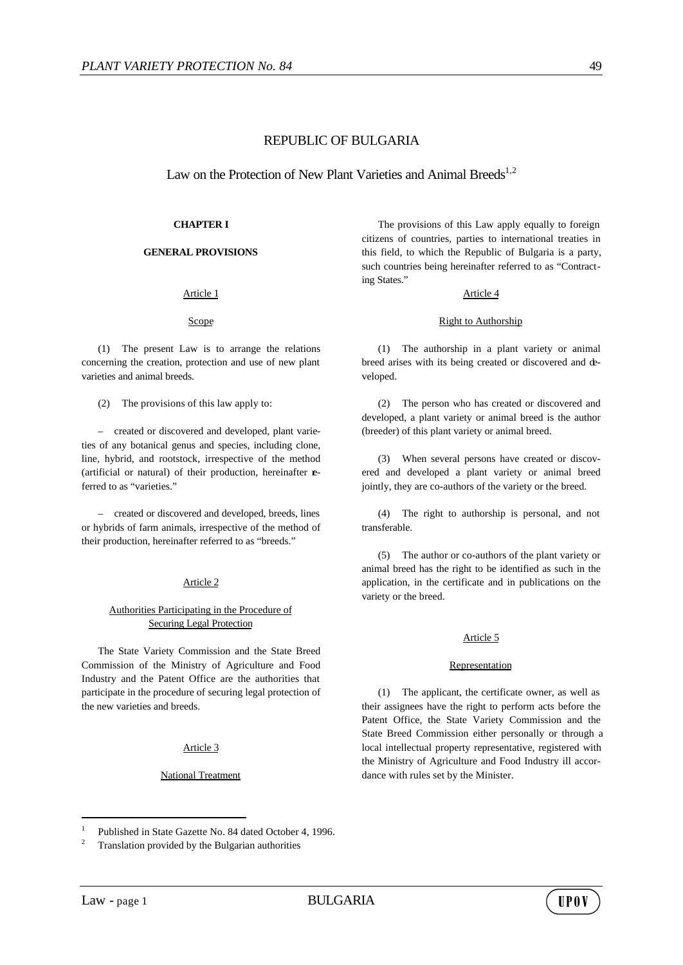# REPUBLIC OF BULGARIA

Law on the Protection of New Plant Varieties and Animal Breeds<sup>1,2</sup>

## **CHAPTER I**

## **GENERAL PROVISIONS**

## Article 1

## Scope

(1) The present Law is to arrange the relations concerning the creation, protection and use of new plant varieties and animal breeds.

(2) The provisions of this law apply to:

– created or discovered and developed, plant varieties of any botanical genus and species, including clone, line, hybrid, and rootstock, irrespective of the method (artificial or natural) of their production, hereinafter **e**ferred to as "varieties."

– created or discovered and developed, breeds, lines or hybrids of farm animals, irrespective of the method of their production, hereinafter referred to as "breeds."

## Article 2

# Authorities Participating in the Procedure of Securing Legal Protection

The State Variety Commission and the State Breed Commission of the Ministry of Agriculture and Food Industry and the Patent Office are the authorities that participate in the procedure of securing legal protection of the new varieties and breeds.

## Article 3

## National Treatment

The provisions of this Law apply equally to foreign citizens of countries, parties to international treaties in this field, to which the Republic of Bulgaria is a party, such countries being hereinafter referred to as "Contracting States."

## Article 4

### Right to Authorship

(1) The authorship in a plant variety or animal breed arises with its being created or discovered and developed.

(2) The person who has created or discovered and developed, a plant variety or animal breed is the author (breeder) of this plant variety or animal breed.

(3) When several persons have created or discovered and developed a plant variety or animal breed jointly, they are co-authors of the variety or the breed.

(4) The right to authorship is personal, and not transferable.

(5) The author or co-authors of the plant variety or animal breed has the right to be identified as such in the application, in the certificate and in publications on the variety or the breed.

## Article 5

## Representation

(1) The applicant, the certificate owner, as well as their assignees have the right to perform acts before the Patent Office, the State Variety Commission and the State Breed Commission either personally or through a local intellectual property representative, registered with the Ministry of Agriculture and Food Industry ill accordance with rules set by the Minister.

l



<sup>1</sup> Published in State Gazette No. 84 dated October 4, 1996.

Translation provided by the Bulgarian authorities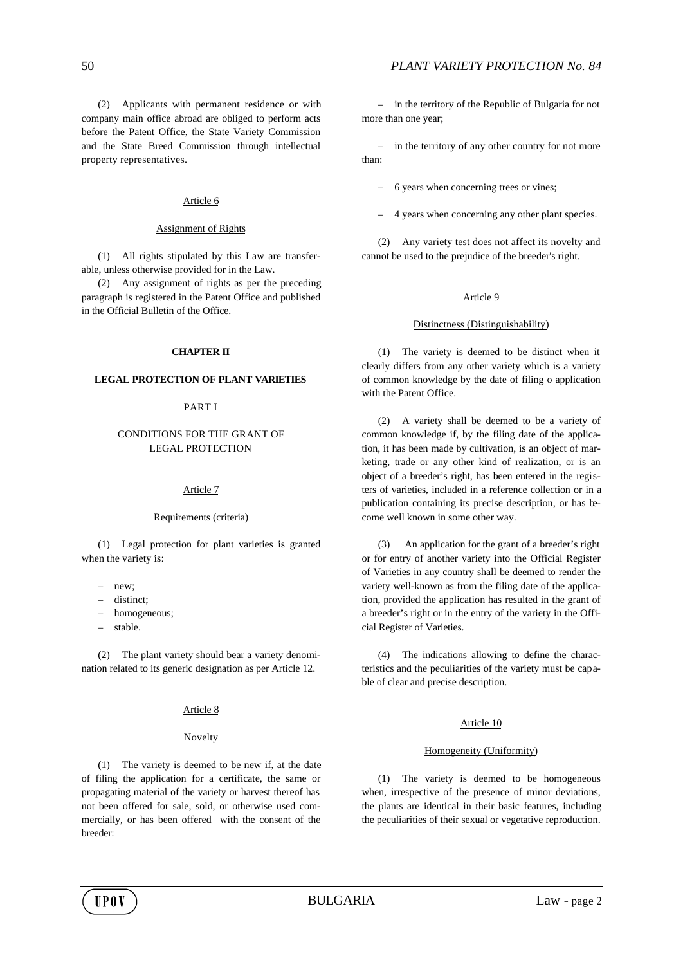(2) Applicants with permanent residence or with company main office abroad are obliged to perform acts before the Patent Office, the State Variety Commission and the State Breed Commission through intellectual property representatives.

### Article 6

#### Assignment of Rights

(1) All rights stipulated by this Law are transferable, unless otherwise provided for in the Law.

(2) Any assignment of rights as per the preceding paragraph is registered in the Patent Office and published in the Official Bulletin of the Office.

### **CHAPTER II**

### **LEGAL PROTECTION OF PLANT VARIETIES**

### PART I

# CONDITIONS FOR THE GRANT OF LEGAL PROTECTION

## Article 7

#### Requirements (criteria)

(1) Legal protection for plant varieties is granted when the variety is:

- new<sup>\*</sup>
- distinct;
- homogeneous;
- stable.

(2) The plant variety should bear a variety denomination related to its generic designation as per Article 12.

### Article 8

#### Novelty

(1) The variety is deemed to be new if, at the date of filing the application for a certificate, the same or propagating material of the variety or harvest thereof has not been offered for sale, sold, or otherwise used commercially, or has been offered with the consent of the breeder:

– in the territory of the Republic of Bulgaria for not more than one year;

– in the territory of any other country for not more than:

– 6 years when concerning trees or vines;

– 4 years when concerning any other plant species.

(2) Any variety test does not affect its novelty and cannot be used to the prejudice of the breeder's right.

#### Article 9

#### Distinctness (Distinguishability)

(1) The variety is deemed to be distinct when it clearly differs from any other variety which is a variety of common knowledge by the date of filing o application with the Patent Office.

(2) A variety shall be deemed to be a variety of common knowledge if, by the filing date of the application, it has been made by cultivation, is an object of marketing, trade or any other kind of realization, or is an object of a breeder's right, has been entered in the registers of varieties, included in a reference collection or in a publication containing its precise description, or has become well known in some other way.

(3) An application for the grant of a breeder's right or for entry of another variety into the Official Register of Varieties in any country shall be deemed to render the variety well-known as from the filing date of the application, provided the application has resulted in the grant of a breeder's right or in the entry of the variety in the Official Register of Varieties.

(4) The indications allowing to define the characteristics and the peculiarities of the variety must be capable of clear and precise description.

## Article 10

### Homogeneity (Uniformity)

(1) The variety is deemed to be homogeneous when, irrespective of the presence of minor deviations, the plants are identical in their basic features, including the peculiarities of their sexual or vegetative reproduction.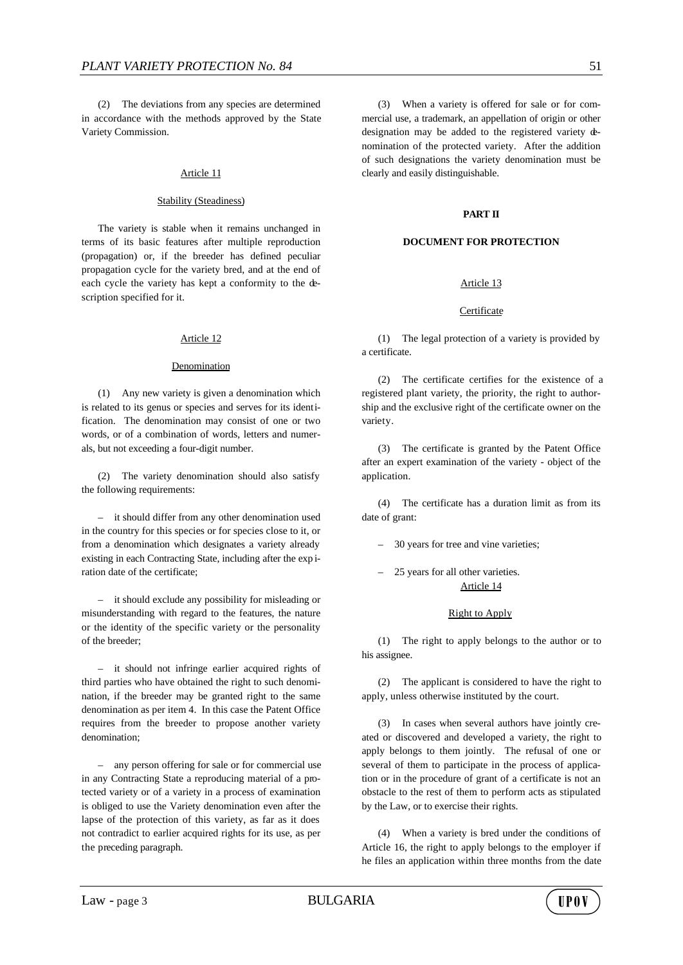(2) The deviations from any species are determined in accordance with the methods approved by the State Variety Commission.

### Article 11

### Stability (Steadiness)

The variety is stable when it remains unchanged in terms of its basic features after multiple reproduction (propagation) or, if the breeder has defined peculiar propagation cycle for the variety bred, and at the end of each cycle the variety has kept a conformity to the description specified for it.

#### Article 12

#### Denomination

(1) Any new variety is given a denomination which is related to its genus or species and serves for its identification. The denomination may consist of one or two words, or of a combination of words, letters and numerals, but not exceeding a four-digit number.

(2) The variety denomination should also satisfy the following requirements:

– it should differ from any other denomination used in the country for this species or for species close to it, or from a denomination which designates a variety already existing in each Contracting State, including after the exp iration date of the certificate;

– it should exclude any possibility for misleading or misunderstanding with regard to the features, the nature or the identity of the specific variety or the personality of the breeder;

– it should not infringe earlier acquired rights of third parties who have obtained the right to such denomination, if the breeder may be granted right to the same denomination as per item 4. In this case the Patent Office requires from the breeder to propose another variety denomination;

– any person offering for sale or for commercial use in any Contracting State a reproducing material of a protected variety or of a variety in a process of examination is obliged to use the Variety denomination even after the lapse of the protection of this variety, as far as it does not contradict to earlier acquired rights for its use, as per the preceding paragraph.

(3) When a variety is offered for sale or for commercial use, a trademark, an appellation of origin or other designation may be added to the registered variety denomination of the protected variety. After the addition of such designations the variety denomination must be clearly and easily distinguishable.

### **PART II**

### **DOCUMENT FOR PROTECTION**

## Article 13

## **Certificate**

(1) The legal protection of a variety is provided by a certificate.

(2) The certificate certifies for the existence of a registered plant variety, the priority, the right to authorship and the exclusive right of the certificate owner on the variety.

(3) The certificate is granted by the Patent Office after an expert examination of the variety - object of the application.

(4) The certificate has a duration limit as from its date of grant:

– 30 years for tree and vine varieties;

– 25 years for all other varieties. Article 14

#### Right to Apply

(1) The right to apply belongs to the author or to his assignee.

(2) The applicant is considered to have the right to apply, unless otherwise instituted by the court.

(3) In cases when several authors have jointly created or discovered and developed a variety, the right to apply belongs to them jointly. The refusal of one or several of them to participate in the process of application or in the procedure of grant of a certificate is not an obstacle to the rest of them to perform acts as stipulated by the Law, or to exercise their rights.

(4) When a variety is bred under the conditions of Article 16, the right to apply belongs to the employer if he files an application within three months from the date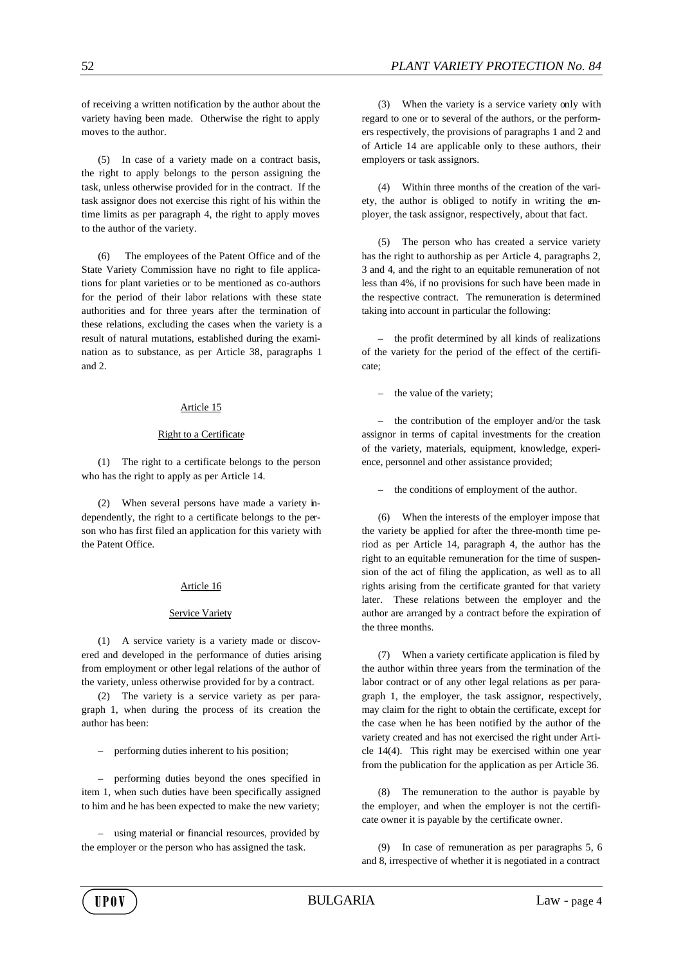of receiving a written notification by the author about the variety having been made. Otherwise the right to apply moves to the author.

(5) In case of a variety made on a contract basis, the right to apply belongs to the person assigning the task, unless otherwise provided for in the contract. If the task assignor does not exercise this right of his within the time limits as per paragraph 4, the right to apply moves to the author of the variety.

(6) The employees of the Patent Office and of the State Variety Commission have no right to file applications for plant varieties or to be mentioned as co-authors for the period of their labor relations with these state authorities and for three years after the termination of these relations, excluding the cases when the variety is a result of natural mutations, established during the examination as to substance, as per Article 38, paragraphs 1 and 2.

## Article 15

## Right to a Certificate

(1) The right to a certificate belongs to the person who has the right to apply as per Article 14.

(2) When several persons have made a variety independently, the right to a certificate belongs to the person who has first filed an application for this variety with the Patent Office.

## Article 16

## Service Variety

(1) A service variety is a variety made or discovered and developed in the performance of duties arising from employment or other legal relations of the author of the variety, unless otherwise provided for by a contract.

(2) The variety is a service variety as per paragraph 1, when during the process of its creation the author has been:

– performing duties inherent to his position;

– performing duties beyond the ones specified in item 1, when such duties have been specifically assigned to him and he has been expected to make the new variety;

– using material or financial resources, provided by the employer or the person who has assigned the task.

(3) When the variety is a service variety only with regard to one or to several of the authors, or the performers respectively, the provisions of paragraphs 1 and 2 and of Article 14 are applicable only to these authors, their employers or task assignors.

(4) Within three months of the creation of the variety, the author is obliged to notify in writing the employer, the task assignor, respectively, about that fact.

(5) The person who has created a service variety has the right to authorship as per Article 4, paragraphs 2, 3 and 4, and the right to an equitable remuneration of not less than 4%, if no provisions for such have been made in the respective contract. The remuneration is determined taking into account in particular the following:

– the profit determined by all kinds of realizations of the variety for the period of the effect of the certificate;

– the value of the variety;

the contribution of the employer and/or the task assignor in terms of capital investments for the creation of the variety, materials, equipment, knowledge, experience, personnel and other assistance provided;

the conditions of employment of the author.

(6) When the interests of the employer impose that the variety be applied for after the three-month time period as per Article 14, paragraph 4, the author has the right to an equitable remuneration for the time of suspension of the act of filing the application, as well as to all rights arising from the certificate granted for that variety later. These relations between the employer and the author are arranged by a contract before the expiration of the three months.

(7) When a variety certificate application is filed by the author within three years from the termination of the labor contract or of any other legal relations as per paragraph 1, the employer, the task assignor, respectively, may claim for the right to obtain the certificate, except for the case when he has been notified by the author of the variety created and has not exercised the right under Article 14(4). This right may be exercised within one year from the publication for the application as per Article 36.

(8) The remuneration to the author is payable by the employer, and when the employer is not the certificate owner it is payable by the certificate owner.

(9) In case of remuneration as per paragraphs 5, 6 and 8, irrespective of whether it is negotiated in a contract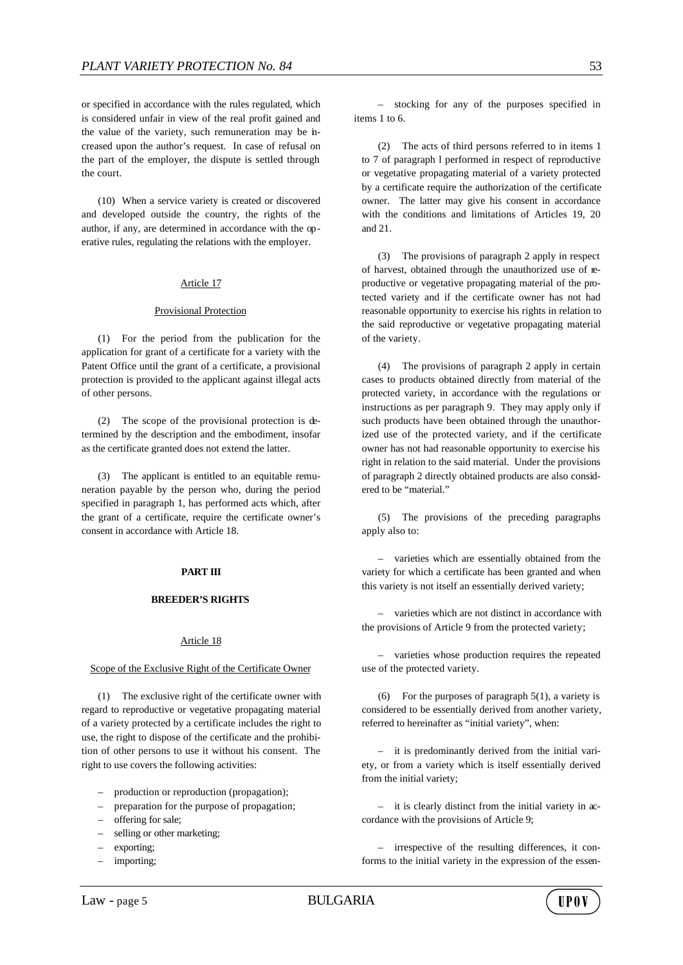or specified in accordance with the rules regulated, which is considered unfair in view of the real profit gained and the value of the variety, such remuneration may be increased upon the author's request. In case of refusal on the part of the employer, the dispute is settled through the court.

(10) When a service variety is created or discovered and developed outside the country, the rights of the author, if any, are determined in accordance with the operative rules, regulating the relations with the employer.

## Article 17

### Provisional Protection

(1) For the period from the publication for the application for grant of a certificate for a variety with the Patent Office until the grant of a certificate, a provisional protection is provided to the applicant against illegal acts of other persons.

(2) The scope of the provisional protection is determined by the description and the embodiment, insofar as the certificate granted does not extend the latter.

(3) The applicant is entitled to an equitable remuneration payable by the person who, during the period specified in paragraph 1, has performed acts which, after the grant of a certificate, require the certificate owner's consent in accordance with Article 18.

## **PART III**

### **BREEDER'S RIGHTS**

### Article 18

#### Scope of the Exclusive Right of the Certificate Owner

(1) The exclusive right of the certificate owner with regard to reproductive or vegetative propagating material of a variety protected by a certificate includes the right to use, the right to dispose of the certificate and the prohibition of other persons to use it without his consent. The right to use covers the following activities:

- production or reproduction (propagation);
- preparation for the purpose of propagation;
- offering for sale;
- selling or other marketing;
- exporting;
- importing;

(2) The acts of third persons referred to in items 1 to 7 of paragraph l performed in respect of reproductive or vegetative propagating material of a variety protected by a certificate require the authorization of the certificate owner. The latter may give his consent in accordance with the conditions and limitations of Articles 19, 20 and 21.

(3) The provisions of paragraph 2 apply in respect of harvest, obtained through the unauthorized use of reproductive or vegetative propagating material of the protected variety and if the certificate owner has not had reasonable opportunity to exercise his rights in relation to the said reproductive or vegetative propagating material of the variety.

(4) The provisions of paragraph 2 apply in certain cases to products obtained directly from material of the protected variety, in accordance with the regulations or instructions as per paragraph 9. They may apply only if such products have been obtained through the unauthorized use of the protected variety, and if the certificate owner has not had reasonable opportunity to exercise his right in relation to the said material. Under the provisions of paragraph 2 directly obtained products are also considered to be "material."

(5) The provisions of the preceding paragraphs apply also to:

– varieties which are essentially obtained from the variety for which a certificate has been granted and when this variety is not itself an essentially derived variety;

– varieties which are not distinct in accordance with the provisions of Article 9 from the protected variety;

– varieties whose production requires the repeated use of the protected variety.

(6) For the purposes of paragraph  $5(1)$ , a variety is considered to be essentially derived from another variety, referred to hereinafter as "initial variety", when:

– it is predominantly derived from the initial variety, or from a variety which is itself essentially derived from the initial variety;

– it is clearly distinct from the initial variety in accordance with the provisions of Article 9;

– irrespective of the resulting differences, it conforms to the initial variety in the expression of the essen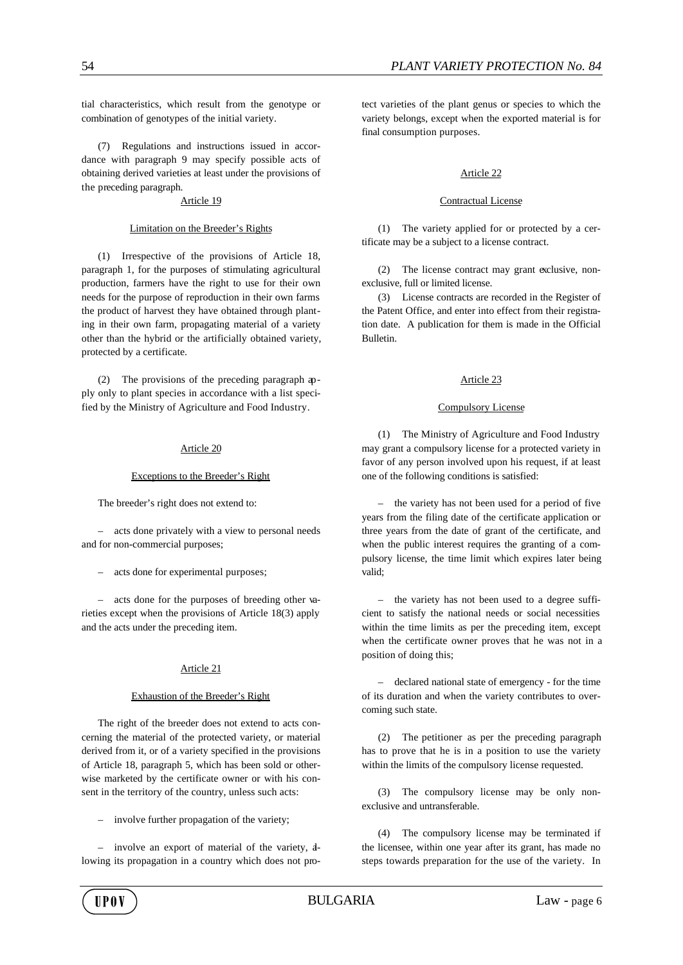tial characteristics, which result from the genotype or combination of genotypes of the initial variety.

(7) Regulations and instructions issued in accordance with paragraph 9 may specify possible acts of obtaining derived varieties at least under the provisions of the preceding paragraph.

### Article 19

## Limitation on the Breeder's Rights

(1) Irrespective of the provisions of Article 18, paragraph 1, for the purposes of stimulating agricultural production, farmers have the right to use for their own needs for the purpose of reproduction in their own farms the product of harvest they have obtained through planting in their own farm, propagating material of a variety other than the hybrid or the artificially obtained variety, protected by a certificate.

(2) The provisions of the preceding paragraph apply only to plant species in accordance with a list specified by the Ministry of Agriculture and Food Industry.

### Article 20

### Exceptions to the Breeder's Right

The breeder's right does not extend to:

– acts done privately with a view to personal needs and for non-commercial purposes;

– acts done for experimental purposes;

– acts done for the purposes of breeding other varieties except when the provisions of Article 18(3) apply and the acts under the preceding item.

## Article 21

## Exhaustion of the Breeder's Right

The right of the breeder does not extend to acts concerning the material of the protected variety, or material derived from it, or of a variety specified in the provisions of Article 18, paragraph 5, which has been sold or otherwise marketed by the certificate owner or with his consent in the territory of the country, unless such acts:

involve further propagation of the variety;

– involve an export of material of the variety, allowing its propagation in a country which does not protect varieties of the plant genus or species to which the variety belongs, except when the exported material is for final consumption purposes.

## Article 22

### Contractual License

(1) The variety applied for or protected by a certificate may be a subject to a license contract.

(2) The license contract may grant exclusive, nonexclusive, full or limited license.

(3) License contracts are recorded in the Register of the Patent Office, and enter into effect from their registration date. A publication for them is made in the Official Bulletin.

## Article 23

### Compulsory License

(1) The Ministry of Agriculture and Food Industry may grant a compulsory license for a protected variety in favor of any person involved upon his request, if at least one of the following conditions is satisfied:

– the variety has not been used for a period of five years from the filing date of the certificate application or three years from the date of grant of the certificate, and when the public interest requires the granting of a compulsory license, the time limit which expires later being valid;

– the variety has not been used to a degree sufficient to satisfy the national needs or social necessities within the time limits as per the preceding item, except when the certificate owner proves that he was not in a position of doing this;

– declared national state of emergency - for the time of its duration and when the variety contributes to overcoming such state.

(2) The petitioner as per the preceding paragraph has to prove that he is in a position to use the variety within the limits of the compulsory license requested.

(3) The compulsory license may be only nonexclusive and untransferable.

(4) The compulsory license may be terminated if the licensee, within one year after its grant, has made no steps towards preparation for the use of the variety. In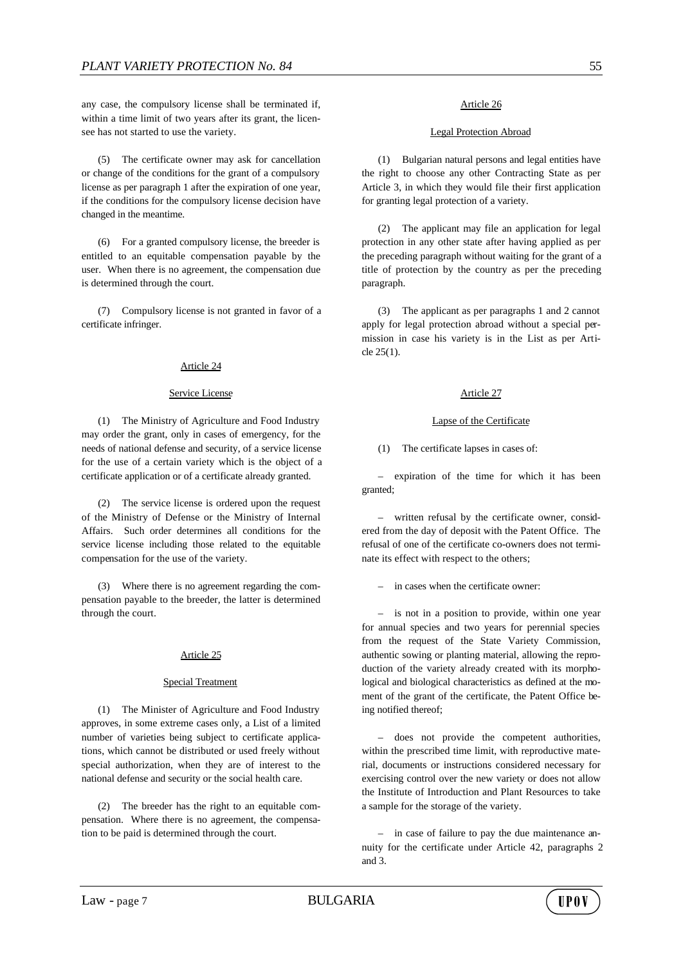any case, the compulsory license shall be terminated if, within a time limit of two years after its grant, the licensee has not started to use the variety.

(5) The certificate owner may ask for cancellation or change of the conditions for the grant of a compulsory license as per paragraph 1 after the expiration of one year, if the conditions for the compulsory license decision have changed in the meantime.

(6) For a granted compulsory license, the breeder is entitled to an equitable compensation payable by the user. When there is no agreement, the compensation due is determined through the court.

(7) Compulsory license is not granted in favor of a certificate infringer.

## Article 24

### Service License

(1) The Ministry of Agriculture and Food Industry may order the grant, only in cases of emergency, for the needs of national defense and security, of a service license for the use of a certain variety which is the object of a certificate application or of a certificate already granted.

(2) The service license is ordered upon the request of the Ministry of Defense or the Ministry of Internal Affairs. Such order determines all conditions for the service license including those related to the equitable compensation for the use of the variety.

(3) Where there is no agreement regarding the compensation payable to the breeder, the latter is determined through the court.

#### Article 25

## Special Treatment

(1) The Minister of Agriculture and Food Industry approves, in some extreme cases only, a List of a limited number of varieties being subject to certificate applications, which cannot be distributed or used freely without special authorization, when they are of interest to the national defense and security or the social health care.

(2) The breeder has the right to an equitable compensation. Where there is no agreement, the compensation to be paid is determined through the court.

#### Legal Protection Abroad

(1) Bulgarian natural persons and legal entities have the right to choose any other Contracting State as per Article 3, in which they would file their first application for granting legal protection of a variety.

(2) The applicant may file an application for legal protection in any other state after having applied as per the preceding paragraph without waiting for the grant of a title of protection by the country as per the preceding paragraph.

(3) The applicant as per paragraphs 1 and 2 cannot apply for legal protection abroad without a special permission in case his variety is in the List as per Article 25(1).

### Article 27

#### Lapse of the Certificate

(1) The certificate lapses in cases of:

– expiration of the time for which it has been granted;

– written refusal by the certificate owner, considered from the day of deposit with the Patent Office. The refusal of one of the certificate co-owners does not terminate its effect with respect to the others;

– in cases when the certificate owner:

– is not in a position to provide, within one year for annual species and two years for perennial species from the request of the State Variety Commission, authentic sowing or planting material, allowing the reproduction of the variety already created with its morphological and biological characteristics as defined at the moment of the grant of the certificate, the Patent Office being notified thereof;

– does not provide the competent authorities, within the prescribed time limit, with reproductive material, documents or instructions considered necessary for exercising control over the new variety or does not allow the Institute of Introduction and Plant Resources to take a sample for the storage of the variety.

– in case of failure to pay the due maintenance annuity for the certificate under Article 42, paragraphs 2 and 3.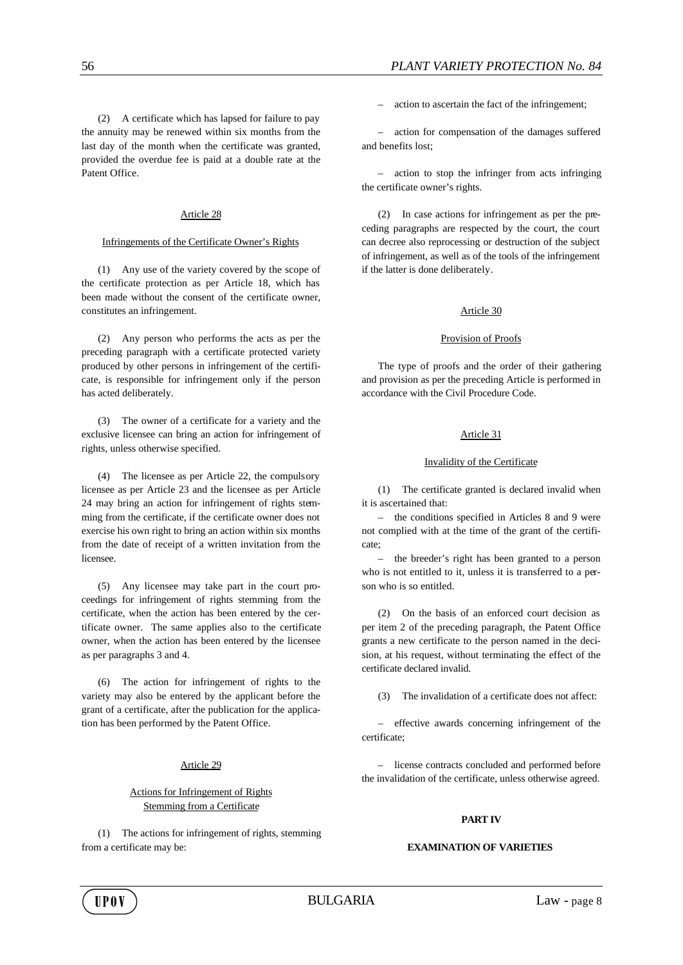(2) A certificate which has lapsed for failure to pay the annuity may be renewed within six months from the last day of the month when the certificate was granted, provided the overdue fee is paid at a double rate at the Patent Office.

## Article 28

## Infringements of the Certificate Owner's Rights

(1) Any use of the variety covered by the scope of the certificate protection as per Article 18, which has been made without the consent of the certificate owner, constitutes an infringement.

(2) Any person who performs the acts as per the preceding paragraph with a certificate protected variety produced by other persons in infringement of the certificate, is responsible for infringement only if the person has acted deliberately.

(3) The owner of a certificate for a variety and the exclusive licensee can bring an action for infringement of rights, unless otherwise specified.

(4) The licensee as per Article 22, the compulsory licensee as per Article 23 and the licensee as per Article 24 may bring an action for infringement of rights stemming from the certificate, if the certificate owner does not exercise his own right to bring an action within six months from the date of receipt of a written invitation from the licensee.

(5) Any licensee may take part in the court proceedings for infringement of rights stemming from the certificate, when the action has been entered by the certificate owner. The same applies also to the certificate owner, when the action has been entered by the licensee as per paragraphs 3 and 4.

(6) The action for infringement of rights to the variety may also be entered by the applicant before the grant of a certificate, after the publication for the application has been performed by the Patent Office.

### Article 29

## Actions for Infringement of Rights Stemming from a Certificate

(1) The actions for infringement of rights, stemming from a certificate may be:

– action to ascertain the fact of the infringement;

– action for compensation of the damages suffered and benefits lost;

– action to stop the infringer from acts infringing the certificate owner's rights.

(2) In case actions for infringement as per the preceding paragraphs are respected by the court, the court can decree also reprocessing or destruction of the subject of infringement, as well as of the tools of the infringement if the latter is done deliberately.

### Article 30

### Provision of Proofs

The type of proofs and the order of their gathering and provision as per the preceding Article is performed in accordance with the Civil Procedure Code.

## Article 31

### Invalidity of the Certificate

(1) The certificate granted is declared invalid when it is ascertained that:

– the conditions specified in Articles 8 and 9 were not complied with at the time of the grant of the certificate;

– the breeder's right has been granted to a person who is not entitled to it, unless it is transferred to a person who is so entitled.

(2) On the basis of an enforced court decision as per item 2 of the preceding paragraph, the Patent Office grants a new certificate to the person named in the decision, at his request, without terminating the effect of the certificate declared invalid.

(3) The invalidation of a certificate does not affect:

– effective awards concerning infringement of the certificate;

– license contracts concluded and performed before the invalidation of the certificate, unless otherwise agreed.

## **PART IV**

### **EXAMINATION OF VARIETIES**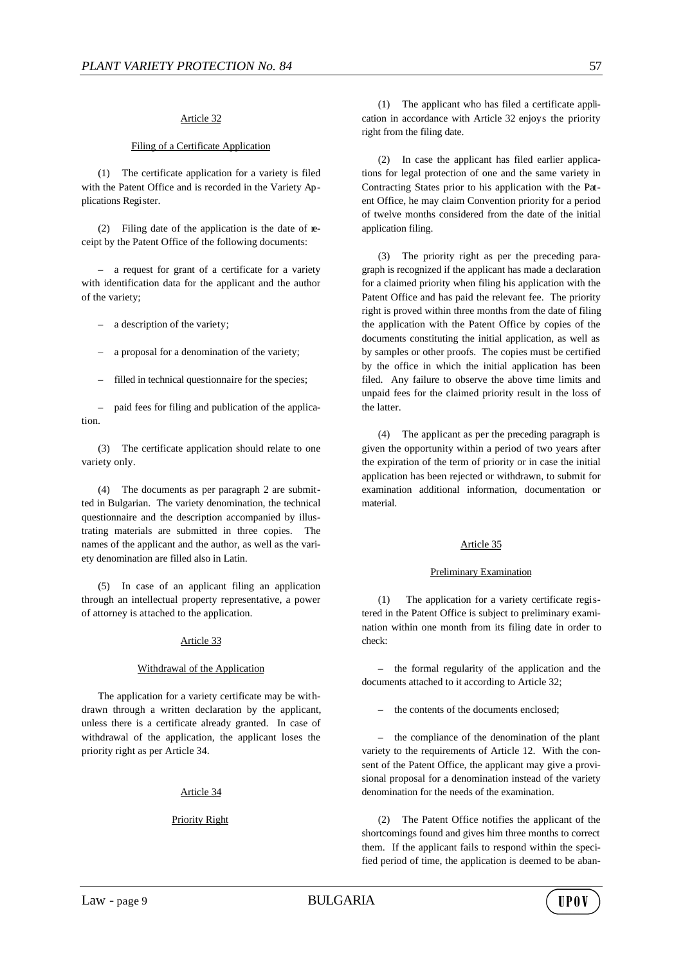## Article 32

## Filing of a Certificate Application

(1) The certificate application for a variety is filed with the Patent Office and is recorded in the Variety Applications Register.

(2) Filing date of the application is the date of receipt by the Patent Office of the following documents:

– a request for grant of a certificate for a variety with identification data for the applicant and the author of the variety;

a description of the variety;

– a proposal for a denomination of the variety;

filled in technical questionnaire for the species;

– paid fees for filing and publication of the application.

(3) The certificate application should relate to one variety only.

(4) The documents as per paragraph 2 are submitted in Bulgarian. The variety denomination, the technical questionnaire and the description accompanied by illustrating materials are submitted in three copies. The names of the applicant and the author, as well as the variety denomination are filled also in Latin.

(5) In case of an applicant filing an application through an intellectual property representative, a power of attorney is attached to the application.

# Article 33

### Withdrawal of the Application

The application for a variety certificate may be withdrawn through a written declaration by the applicant, unless there is a certificate already granted. In case of withdrawal of the application, the applicant loses the priority right as per Article 34.

### Article 34

## Priority Right

(2) In case the applicant has filed earlier applications for legal protection of one and the same variety in Contracting States prior to his application with the Patent Office, he may claim Convention priority for a period of twelve months considered from the date of the initial application filing.

(3) The priority right as per the preceding paragraph is recognized if the applicant has made a declaration for a claimed priority when filing his application with the Patent Office and has paid the relevant fee. The priority right is proved within three months from the date of filing the application with the Patent Office by copies of the documents constituting the initial application, as well as by samples or other proofs. The copies must be certified by the office in which the initial application has been filed. Any failure to observe the above time limits and unpaid fees for the claimed priority result in the loss of the latter.

(4) The applicant as per the preceding paragraph is given the opportunity within a period of two years after the expiration of the term of priority or in case the initial application has been rejected or withdrawn, to submit for examination additional information, documentation or material.

## Article 35

#### Preliminary Examination

(1) The application for a variety certificate registered in the Patent Office is subject to preliminary examination within one month from its filing date in order to check:

– the formal regularity of the application and the documents attached to it according to Article 32;

– the contents of the documents enclosed;

– the compliance of the denomination of the plant variety to the requirements of Article 12. With the consent of the Patent Office, the applicant may give a provisional proposal for a denomination instead of the variety denomination for the needs of the examination.

(2) The Patent Office notifies the applicant of the shortcomings found and gives him three months to correct them. If the applicant fails to respond within the specified period of time, the application is deemed to be aban-

**HPOV**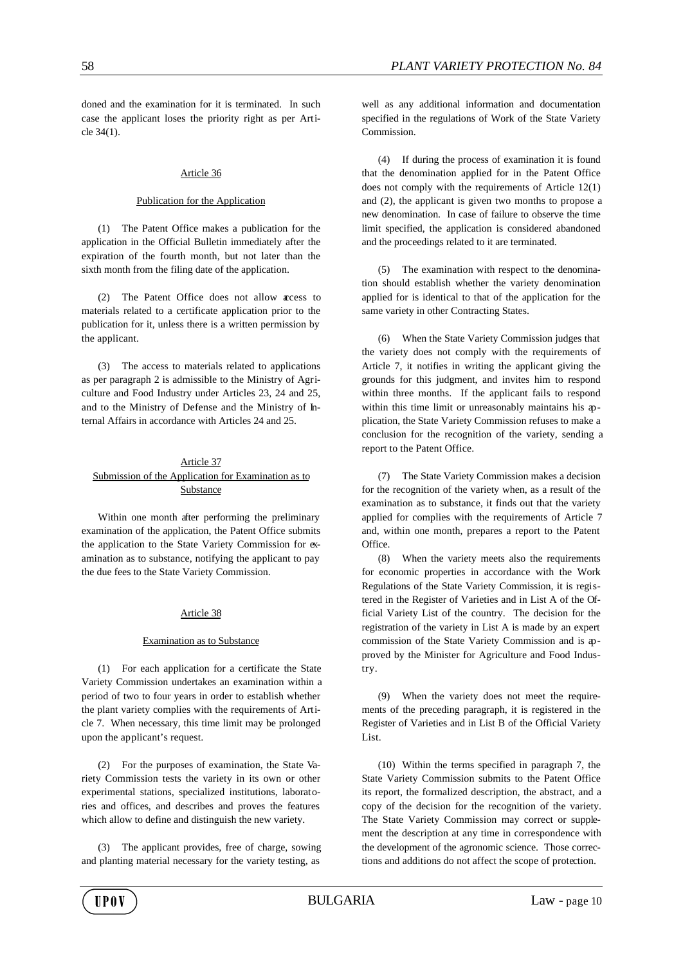doned and the examination for it is terminated. In such case the applicant loses the priority right as per Article 34(1).

### Article 36

#### Publication for the Application

(1) The Patent Office makes a publication for the application in the Official Bulletin immediately after the expiration of the fourth month, but not later than the sixth month from the filing date of the application.

(2) The Patent Office does not allow access to materials related to a certificate application prior to the publication for it, unless there is a written permission by the applicant.

(3) The access to materials related to applications as per paragraph 2 is admissible to the Ministry of Agriculture and Food Industry under Articles 23, 24 and 25, and to the Ministry of Defense and the Ministry of Internal Affairs in accordance with Articles 24 and 25.

## Article 37 Submission of the Application for Examination as to Substance

Within one month after performing the preliminary examination of the application, the Patent Office submits the application to the State Variety Commission for examination as to substance, notifying the applicant to pay the due fees to the State Variety Commission.

#### Article 38

### Examination as to Substance

(1) For each application for a certificate the State Variety Commission undertakes an examination within a period of two to four years in order to establish whether the plant variety complies with the requirements of Article 7. When necessary, this time limit may be prolonged upon the applicant's request.

(2) For the purposes of examination, the State Variety Commission tests the variety in its own or other experimental stations, specialized institutions, laboratories and offices, and describes and proves the features which allow to define and distinguish the new variety.

(3) The applicant provides, free of charge, sowing and planting material necessary for the variety testing, as

well as any additional information and documentation specified in the regulations of Work of the State Variety Commission.

(4) If during the process of examination it is found that the denomination applied for in the Patent Office does not comply with the requirements of Article 12(1) and (2), the applicant is given two months to propose a new denomination. In case of failure to observe the time limit specified, the application is considered abandoned and the proceedings related to it are terminated.

(5) The examination with respect to the denomination should establish whether the variety denomination applied for is identical to that of the application for the same variety in other Contracting States.

(6) When the State Variety Commission judges that the variety does not comply with the requirements of Article 7, it notifies in writing the applicant giving the grounds for this judgment, and invites him to respond within three months. If the applicant fails to respond within this time limit or unreasonably maintains his application, the State Variety Commission refuses to make a conclusion for the recognition of the variety, sending a report to the Patent Office.

(7) The State Variety Commission makes a decision for the recognition of the variety when, as a result of the examination as to substance, it finds out that the variety applied for complies with the requirements of Article 7 and, within one month, prepares a report to the Patent Office.

(8) When the variety meets also the requirements for economic properties in accordance with the Work Regulations of the State Variety Commission, it is registered in the Register of Varieties and in List A of the Official Variety List of the country. The decision for the registration of the variety in List A is made by an expert commission of the State Variety Commission and is approved by the Minister for Agriculture and Food Industry.

(9) When the variety does not meet the requirements of the preceding paragraph, it is registered in the Register of Varieties and in List B of the Official Variety List.

(10) Within the terms specified in paragraph 7, the State Variety Commission submits to the Patent Office its report, the formalized description, the abstract, and a copy of the decision for the recognition of the variety. The State Variety Commission may correct or supplement the description at any time in correspondence with the development of the agronomic science. Those corrections and additions do not affect the scope of protection.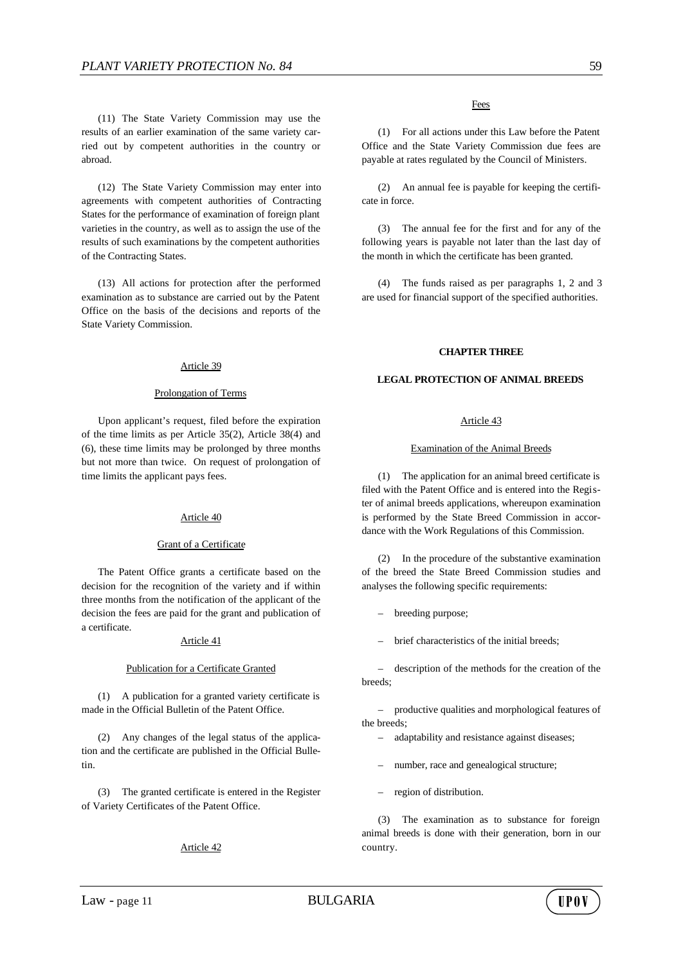(11) The State Variety Commission may use the results of an earlier examination of the same variety carried out by competent authorities in the country or abroad.

(12) The State Variety Commission may enter into agreements with competent authorities of Contracting States for the performance of examination of foreign plant varieties in the country, as well as to assign the use of the results of such examinations by the competent authorities of the Contracting States.

(13) All actions for protection after the performed examination as to substance are carried out by the Patent Office on the basis of the decisions and reports of the State Variety Commission.

### Article 39

#### Prolongation of Terms

Upon applicant's request, filed before the expiration of the time limits as per Article 35(2), Article 38(4) and (6), these time limits may be prolonged by three months but not more than twice. On request of prolongation of time limits the applicant pays fees.

#### Article 40

## Grant of a Certificate

The Patent Office grants a certificate based on the decision for the recognition of the variety and if within three months from the notification of the applicant of the decision the fees are paid for the grant and publication of a certificate.

### Article 41

#### Publication for a Certificate Granted

(1) A publication for a granted variety certificate is made in the Official Bulletin of the Patent Office.

(2) Any changes of the legal status of the application and the certificate are published in the Official Bulletin.

(3) The granted certificate is entered in the Register of Variety Certificates of the Patent Office.

## Article 42

### Fees

(1) For all actions under this Law before the Patent Office and the State Variety Commission due fees are payable at rates regulated by the Council of Ministers.

(2) An annual fee is payable for keeping the certificate in force.

(3) The annual fee for the first and for any of the following years is payable not later than the last day of the month in which the certificate has been granted.

(4) The funds raised as per paragraphs 1, 2 and 3 are used for financial support of the specified authorities.

### **CHAPTER THREE**

#### **LEGAL PROTECTION OF ANIMAL BREEDS**

## Article 43

#### Examination of the Animal Breeds

(1) The application for an animal breed certificate is filed with the Patent Office and is entered into the Register of animal breeds applications, whereupon examination is performed by the State Breed Commission in accordance with the Work Regulations of this Commission.

(2) In the procedure of the substantive examination of the breed the State Breed Commission studies and analyses the following specific requirements:

- breeding purpose;
- brief characteristics of the initial breeds;

description of the methods for the creation of the breeds;

– productive qualities and morphological features of the breeds;

- adaptability and resistance against diseases;
- number, race and genealogical structure;
- region of distribution.

(3) The examination as to substance for foreign animal breeds is done with their generation, born in our country.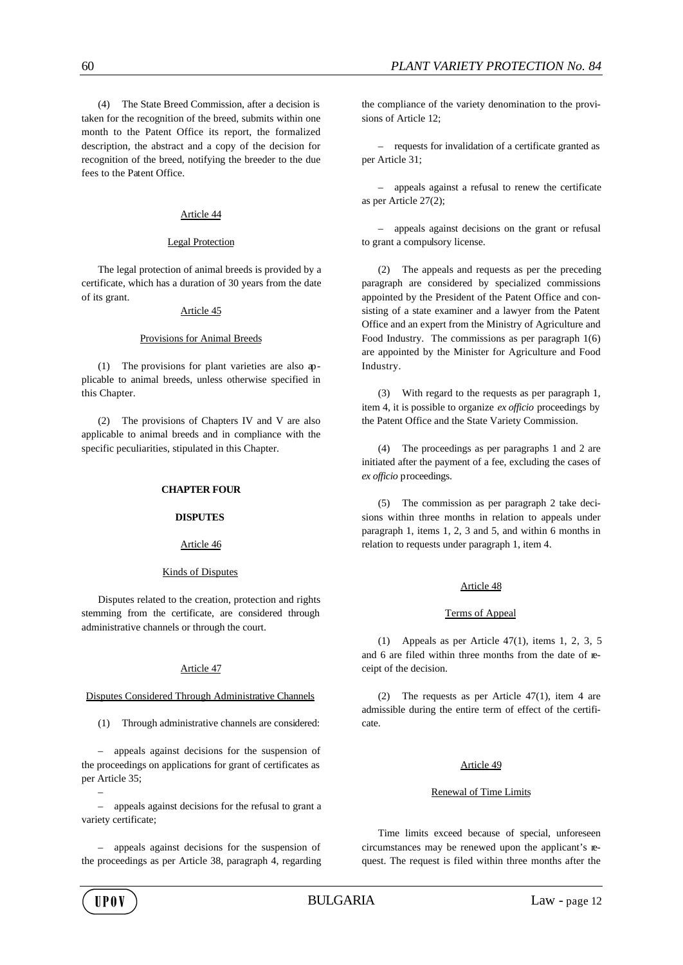(4) The State Breed Commission, after a decision is taken for the recognition of the breed, submits within one month to the Patent Office its report, the formalized description, the abstract and a copy of the decision for recognition of the breed, notifying the breeder to the due fees to the Patent Office.

## Article 44

## Legal Protection

The legal protection of animal breeds is provided by a certificate, which has a duration of 30 years from the date of its grant.

### Article 45

### Provisions for Animal Breeds

(1) The provisions for plant varieties are also applicable to animal breeds, unless otherwise specified in this Chapter.

(2) The provisions of Chapters IV and V are also applicable to animal breeds and in compliance with the specific peculiarities, stipulated in this Chapter.

## **CHAPTER FOUR**

#### **DISPUTES**

# Article 46

## Kinds of Disputes

Disputes related to the creation, protection and rights stemming from the certificate, are considered through administrative channels or through the court.

## Article 47

## Disputes Considered Through Administrative Channels

(1) Through administrative channels are considered:

– appeals against decisions for the suspension of the proceedings on applications for grant of certificates as per Article 35;

– appeals against decisions for the refusal to grant a variety certificate;

– appeals against decisions for the suspension of the proceedings as per Article 38, paragraph 4, regarding the compliance of the variety denomination to the provisions of Article 12;

– requests for invalidation of a certificate granted as per Article 31;

– appeals against a refusal to renew the certificate as per Article 27(2);

– appeals against decisions on the grant or refusal to grant a compulsory license.

(2) The appeals and requests as per the preceding paragraph are considered by specialized commissions appointed by the President of the Patent Office and consisting of a state examiner and a lawyer from the Patent Office and an expert from the Ministry of Agriculture and Food Industry. The commissions as per paragraph 1(6) are appointed by the Minister for Agriculture and Food Industry.

(3) With regard to the requests as per paragraph 1, item 4, it is possible to organize *ex officio* proceedings by the Patent Office and the State Variety Commission.

(4) The proceedings as per paragraphs 1 and 2 are initiated after the payment of a fee, excluding the cases of *ex officio* proceedings.

(5) The commission as per paragraph 2 take decisions within three months in relation to appeals under paragraph 1, items 1, 2, 3 and 5, and within 6 months in relation to requests under paragraph 1, item 4.

## Article 48

#### Terms of Appeal

(1) Appeals as per Article 47(1), items 1, 2, 3, 5 and 6 are filed within three months from the date of receipt of the decision.

(2) The requests as per Article 47(1), item 4 are admissible during the entire term of effect of the certificate.

## Article 49

### Renewal of Time Limits

Time limits exceed because of special, unforeseen circumstances may be renewed upon the applicant's request. The request is filed within three months after the

–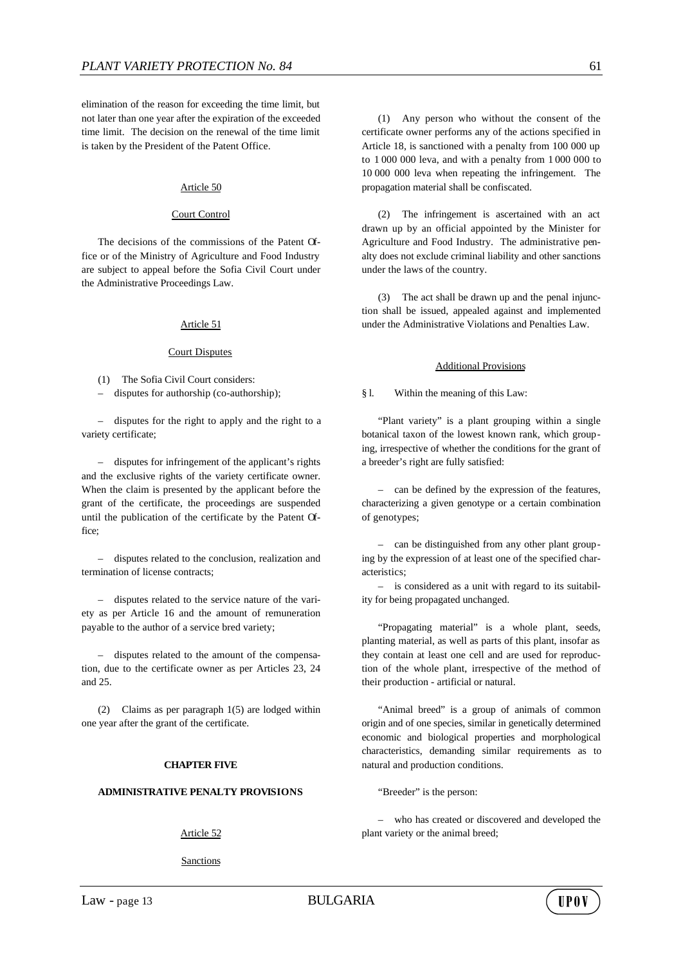elimination of the reason for exceeding the time limit, but not later than one year after the expiration of the exceeded time limit. The decision on the renewal of the time limit is taken by the President of the Patent Office.

### Article 50

#### Court Control

The decisions of the commissions of the Patent Office or of the Ministry of Agriculture and Food Industry are subject to appeal before the Sofia Civil Court under the Administrative Proceedings Law.

### Article 51

#### Court Disputes

(1) The Sofia Civil Court considers:

– disputes for authorship (co-authorship);

– disputes for the right to apply and the right to a variety certificate;

– disputes for infringement of the applicant's rights and the exclusive rights of the variety certificate owner. When the claim is presented by the applicant before the grant of the certificate, the proceedings are suspended until the publication of the certificate by the Patent Office;

– disputes related to the conclusion, realization and termination of license contracts;

– disputes related to the service nature of the variety as per Article 16 and the amount of remuneration payable to the author of a service bred variety;

– disputes related to the amount of the compensation, due to the certificate owner as per Articles 23, 24 and 25.

(2) Claims as per paragraph 1(5) are lodged within one year after the grant of the certificate.

### **CHAPTER FIVE**

#### **ADMINISTRATIVE PENALTY PROVISIONS**

Article 52

Sanctions

(1) Any person who without the consent of the certificate owner performs any of the actions specified in Article 18, is sanctioned with a penalty from 100 000 up to 1 000 000 leva, and with a penalty from 1 000 000 to 10 000 000 leva when repeating the infringement. The propagation material shall be confiscated.

(2) The infringement is ascertained with an act drawn up by an official appointed by the Minister for Agriculture and Food Industry. The administrative penalty does not exclude criminal liability and other sanctions under the laws of the country.

(3) The act shall be drawn up and the penal injunction shall be issued, appealed against and implemented under the Administrative Violations and Penalties Law.

#### Additional Provisions

§ l. Within the meaning of this Law:

"Plant variety" is a plant grouping within a single botanical taxon of the lowest known rank, which grouping, irrespective of whether the conditions for the grant of a breeder's right are fully satisfied:

– can be defined by the expression of the features, characterizing a given genotype or a certain combination of genotypes;

– can be distinguished from any other plant grouping by the expression of at least one of the specified characteristics;

– is considered as a unit with regard to its suitability for being propagated unchanged.

"Propagating material" is a whole plant, seeds, planting material, as well as parts of this plant, insofar as they contain at least one cell and are used for reproduction of the whole plant, irrespective of the method of their production - artificial or natural.

"Animal breed" is a group of animals of common origin and of one species, similar in genetically determined economic and biological properties and morphological characteristics, demanding similar requirements as to natural and production conditions.

"Breeder" is the person:

– who has created or discovered and developed the plant variety or the animal breed;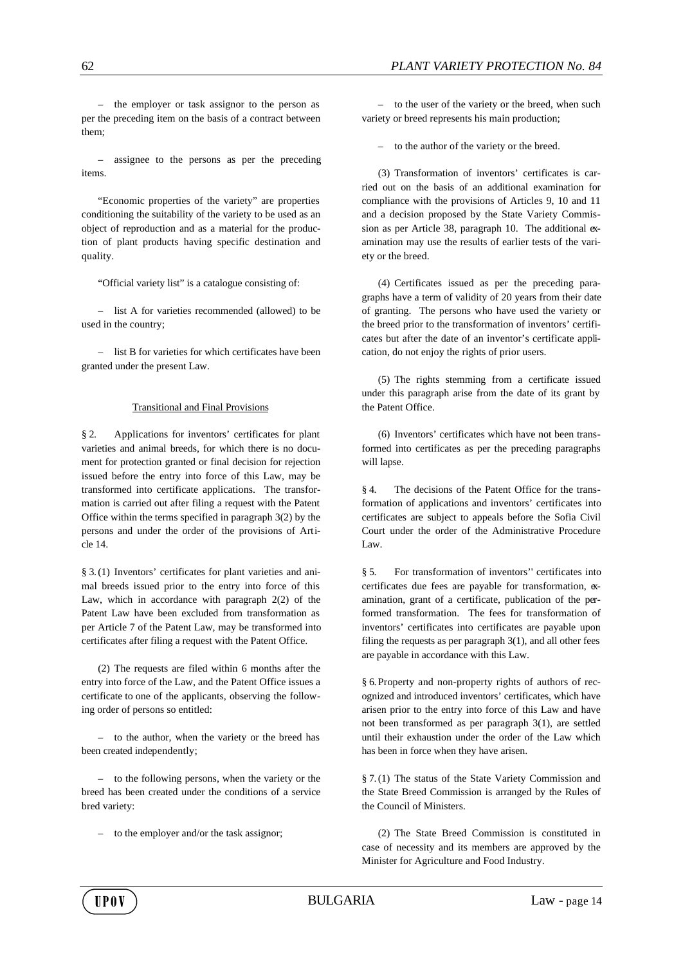– the employer or task assignor to the person as per the preceding item on the basis of a contract between them;

– assignee to the persons as per the preceding items.

"Economic properties of the variety" are properties conditioning the suitability of the variety to be used as an object of reproduction and as a material for the production of plant products having specific destination and quality.

"Official variety list" is a catalogue consisting of:

– list A for varieties recommended (allowed) to be used in the country;

– list B for varieties for which certificates have been granted under the present Law.

### Transitional and Final Provisions

§ 2. Applications for inventors' certificates for plant varieties and animal breeds, for which there is no document for protection granted or final decision for rejection issued before the entry into force of this Law, may be transformed into certificate applications. The transformation is carried out after filing a request with the Patent Office within the terms specified in paragraph 3(2) by the persons and under the order of the provisions of Article 14.

§ 3.(1) Inventors' certificates for plant varieties and animal breeds issued prior to the entry into force of this Law, which in accordance with paragraph 2(2) of the Patent Law have been excluded from transformation as per Article 7 of the Patent Law, may be transformed into certificates after filing a request with the Patent Office.

(2) The requests are filed within 6 months after the entry into force of the Law, and the Patent Office issues a certificate to one of the applicants, observing the following order of persons so entitled:

– to the author, when the variety or the breed has been created independently;

– to the following persons, when the variety or the breed has been created under the conditions of a service bred variety:

– to the employer and/or the task assignor;

– to the user of the variety or the breed, when such variety or breed represents his main production;

– to the author of the variety or the breed.

(3) Transformation of inventors' certificates is carried out on the basis of an additional examination for compliance with the provisions of Articles 9, 10 and 11 and a decision proposed by the State Variety Commission as per Article 38, paragraph 10. The additional examination may use the results of earlier tests of the variety or the breed.

(4) Certificates issued as per the preceding paragraphs have a term of validity of 20 years from their date of granting. The persons who have used the variety or the breed prior to the transformation of inventors' certificates but after the date of an inventor's certificate application, do not enjoy the rights of prior users.

(5) The rights stemming from a certificate issued under this paragraph arise from the date of its grant by the Patent Office.

(6) Inventors' certificates which have not been transformed into certificates as per the preceding paragraphs will lapse.

§ 4. The decisions of the Patent Office for the transformation of applications and inventors' certificates into certificates are subject to appeals before the Sofia Civil Court under the order of the Administrative Procedure Law.

§ 5. For transformation of inventors'' certificates into certificates due fees are payable for transformation, examination, grant of a certificate, publication of the performed transformation. The fees for transformation of inventors' certificates into certificates are payable upon filing the requests as per paragraph  $3(1)$ , and all other fees are payable in accordance with this Law.

§ 6.Property and non-property rights of authors of recognized and introduced inventors' certificates, which have arisen prior to the entry into force of this Law and have not been transformed as per paragraph 3(1), are settled until their exhaustion under the order of the Law which has been in force when they have arisen.

§ 7.(1) The status of the State Variety Commission and the State Breed Commission is arranged by the Rules of the Council of Ministers.

(2) The State Breed Commission is constituted in case of necessity and its members are approved by the Minister for Agriculture and Food Industry.